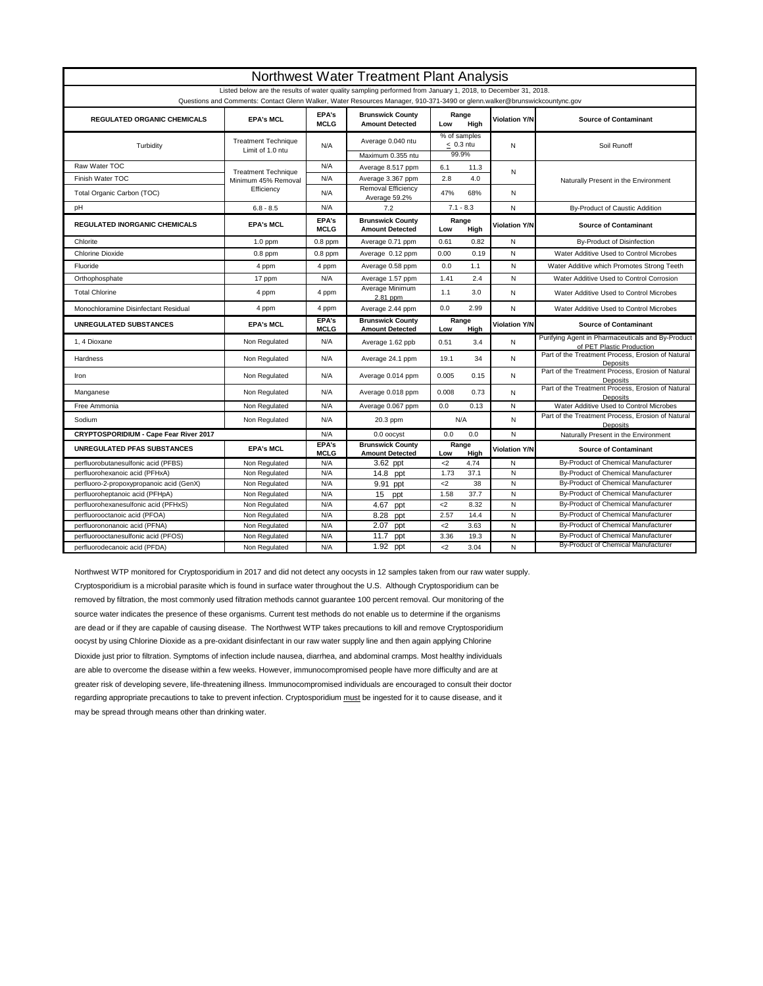| Northwest Water Treatment Plant Analysis                                                                                                                                                                                                  |                                                   |                      |                                                   |                                         |               |                              |                                                                                |  |  |  |  |
|-------------------------------------------------------------------------------------------------------------------------------------------------------------------------------------------------------------------------------------------|---------------------------------------------------|----------------------|---------------------------------------------------|-----------------------------------------|---------------|------------------------------|--------------------------------------------------------------------------------|--|--|--|--|
| Listed below are the results of water quality sampling performed from January 1, 2018, to December 31, 2018.<br>Questions and Comments: Contact Glenn Walker, Water Resources Manager, 910-371-3490 or glenn.walker@brunswickcountync.gov |                                                   |                      |                                                   |                                         |               |                              |                                                                                |  |  |  |  |
| REGULATED ORGANIC CHEMICALS                                                                                                                                                                                                               | <b>EPA's MCL</b>                                  | EPA's<br><b>MCLG</b> | <b>Brunswick County</b><br><b>Amount Detected</b> | Range<br>Low<br>High                    |               | <b>Violation Y/N</b>         | <b>Source of Contaminant</b>                                                   |  |  |  |  |
| Turbidity                                                                                                                                                                                                                                 | <b>Treatment Technique</b><br>Limit of 1.0 ntu    | N/A                  | Average 0.040 ntu<br>Maximum 0.355 ntu            | % of samples<br>$\leq$ 0.3 ntu<br>99.9% |               | N                            | Soil Runoff                                                                    |  |  |  |  |
| Raw Water TOC                                                                                                                                                                                                                             |                                                   | N/A                  | Average 8.517 ppm                                 | 6.1                                     | 11.3          |                              |                                                                                |  |  |  |  |
| Finish Water TOC                                                                                                                                                                                                                          | <b>Treatment Technique</b><br>Minimum 45% Removal | N/A                  | Average 3.367 ppm                                 | 2.8                                     | 4.0           | N                            | Naturally Present in the Environment                                           |  |  |  |  |
| Total Organic Carbon (TOC)                                                                                                                                                                                                                | Efficiency                                        | N/A                  | Removal Efficiency<br>Average 59.2%               | 47%                                     | 68%           | N                            |                                                                                |  |  |  |  |
| pH                                                                                                                                                                                                                                        | $6.8 - 8.5$                                       | N/A                  | 7.2                                               | $7.1 - 8.3$                             |               | N                            | By-Product of Caustic Addition                                                 |  |  |  |  |
| <b>REGULATED INORGANIC CHEMICALS</b>                                                                                                                                                                                                      | <b>EPA's MCL</b>                                  | EPA's<br><b>MCLG</b> | <b>Brunswick County</b><br><b>Amount Detected</b> | Range<br>High<br>Low                    |               | <b>Violation Y/N</b>         | <b>Source of Contaminant</b>                                                   |  |  |  |  |
| Chlorite                                                                                                                                                                                                                                  | $1.0$ ppm                                         | $0.8$ ppm            | Average 0.71 ppm                                  | 0.61                                    | 0.82          | N                            | <b>By-Product of Disinfection</b>                                              |  |  |  |  |
| <b>Chlorine Dioxide</b>                                                                                                                                                                                                                   | $0.8$ ppm                                         | $0.8$ ppm            | Average 0.12 ppm                                  | 0.00                                    | 0.19          | N                            | Water Additive Used to Control Microbes                                        |  |  |  |  |
| Fluoride                                                                                                                                                                                                                                  | 4 ppm                                             | 4 ppm                | Average 0.58 ppm                                  | 0.0                                     | 1.1           | $\mathsf{N}$                 | Water Additive which Promotes Strong Teeth                                     |  |  |  |  |
| Orthophosphate                                                                                                                                                                                                                            | 17 ppm                                            | N/A                  | Average 1.57 ppm                                  | 1.41                                    | 2.4           | N                            | Water Additive Used to Control Corrosion                                       |  |  |  |  |
| <b>Total Chlorine</b>                                                                                                                                                                                                                     | 4 ppm                                             | 4 ppm                | Average Minimum<br>2.81 ppm                       | 1.1                                     | 3.0           | N                            | Water Additive Used to Control Microbes                                        |  |  |  |  |
| Monochloramine Disinfectant Residual                                                                                                                                                                                                      | 4 ppm                                             | 4 ppm                | Average 2.44 ppm                                  | 0.0                                     | 2.99          | N                            | Water Additive Used to Control Microbes                                        |  |  |  |  |
| <b>UNREGULATED SUBSTANCES</b>                                                                                                                                                                                                             | <b>EPA's MCL</b>                                  | EPA's<br><b>MCLG</b> | <b>Brunswick County</b><br><b>Amount Detected</b> | Range<br>Hiah<br>Low                    |               | <b>Violation Y/N</b>         | <b>Source of Contaminant</b>                                                   |  |  |  |  |
| 1, 4 Dioxane                                                                                                                                                                                                                              | Non Regulated                                     | N/A                  | Average 1.62 ppb                                  | 0.51                                    | 3.4           | N                            | Purifying Agent in Pharmaceuticals and By-Product<br>of PET Plastic Production |  |  |  |  |
| Hardness                                                                                                                                                                                                                                  | Non Regulated                                     | N/A                  | Average 24.1 ppm                                  | 19.1                                    | 34            | N                            | Part of the Treatment Process, Erosion of Natural<br>Deposits                  |  |  |  |  |
| Iron                                                                                                                                                                                                                                      | Non Regulated                                     | N/A                  | Average 0.014 ppm                                 | 0.005                                   | 0.15          | N                            | Part of the Treatment Process, Erosion of Natural<br>Deposits                  |  |  |  |  |
| Manganese                                                                                                                                                                                                                                 | Non Regulated                                     | N/A                  | Average 0.018 ppm                                 | 0.008                                   | 0.73          | N                            | Part of the Treatment Process, Erosion of Natural<br>Deposits                  |  |  |  |  |
| Free Ammonia                                                                                                                                                                                                                              | Non Regulated                                     | N/A                  | Average 0.067 ppm                                 | 0.0                                     | 0.13          | N                            | Water Additive Used to Control Microbes                                        |  |  |  |  |
| Sodium                                                                                                                                                                                                                                    | Non Regulated                                     | N/A                  | 20.3 ppm                                          | N/A                                     |               | $\mathsf{N}$                 | Part of the Treatment Process, Erosion of Natural<br>Deposits                  |  |  |  |  |
| CRYPTOSPORIDIUM - Cape Fear River 2017                                                                                                                                                                                                    |                                                   | N/A                  | 0.0 oocyst                                        | 0.0<br>0.0                              |               | N                            | Naturally Present in the Environment                                           |  |  |  |  |
| <b>UNREGULATED PFAS SUBSTANCES</b>                                                                                                                                                                                                        | <b>EPA's MCL</b>                                  | EPA's<br><b>MCLG</b> | <b>Brunswick County</b><br><b>Amount Detected</b> | Low                                     | Range<br>High | <b>Violation Y/N</b>         | <b>Source of Contaminant</b>                                                   |  |  |  |  |
| perfluorobutanesulfonic acid (PFBS)                                                                                                                                                                                                       | Non Regulated                                     | N/A                  | 3.62 ppt                                          | $\leq$                                  | 4.74          | N                            | By-Product of Chemical Manufacturer                                            |  |  |  |  |
| perfluorohexanoic acid (PFHxA)                                                                                                                                                                                                            | Non Regulated                                     | N/A                  | $\overline{14.8}$ ppt                             | 1.73                                    | 37.1          | $\mathsf{N}$                 | By-Product of Chemical Manufacturer                                            |  |  |  |  |
| perfluoro-2-propoxypropanoic acid (GenX)                                                                                                                                                                                                  | Non Regulated                                     | N/A                  | 9.91 ppt                                          | $\leq$                                  | 38            | $\mathsf{N}$                 | By-Product of Chemical Manufacturer                                            |  |  |  |  |
| perfluoroheptanoic acid (PFHpA)                                                                                                                                                                                                           | Non Regulated                                     | N/A<br>N/A           | 15<br>ppt                                         | 1.58<br>$\leq$                          | 37.7<br>8.32  | $\mathsf{N}$<br>$\mathsf{N}$ | By-Product of Chemical Manufacturer<br>By-Product of Chemical Manufacturer     |  |  |  |  |
|                                                                                                                                                                                                                                           |                                                   |                      |                                                   |                                         |               |                              |                                                                                |  |  |  |  |
| perfluorohexanesulfonic acid (PFHxS)                                                                                                                                                                                                      | Non Regulated                                     |                      | 4.67<br>ppt                                       |                                         |               |                              |                                                                                |  |  |  |  |
| perfluorooctanoic acid (PFOA)                                                                                                                                                                                                             | Non Regulated                                     | N/A                  | 8.28<br>ppt                                       | 2.57                                    | 14.4          | $\mathsf{N}$<br>$\mathsf{N}$ | By-Product of Chemical Manufacturer                                            |  |  |  |  |
| perfluorononanoic acid (PFNA)<br>perfluorooctanesulfonic acid (PFOS)                                                                                                                                                                      | Non Regulated<br>Non Regulated                    | N/A<br>N/A           | 2.07<br>ppt<br>11.7<br>ppt                        | $2$<br>3.36                             | 3.63<br>19.3  | $\mathsf{N}$                 | By-Product of Chemical Manufacturer<br>By-Product of Chemical Manufacturer     |  |  |  |  |

Northwest WTP monitored for Cryptosporidium in 2017 and did not detect any oocysts in 12 samples taken from our raw water supply. Cryptosporidium is a microbial parasite which is found in surface water throughout the U.S. Although Cryptosporidium can be removed by filtration, the most commonly used filtration methods cannot guarantee 100 percent removal. Our monitoring of the source water indicates the presence of these organisms. Current test methods do not enable us to determine if the organisms are dead or if they are capable of causing disease. The Northwest WTP takes precautions to kill and remove Cryptosporidium oocyst by using Chlorine Dioxide as a pre-oxidant disinfectant in our raw water supply line and then again applying Chlorine Dioxide just prior to filtration. Symptoms of infection include nausea, diarrhea, and abdominal cramps. Most healthy individuals are able to overcome the disease within a few weeks. However, immunocompromised people have more difficulty and are at greater risk of developing severe, life-threatening illness. Immunocompromised individuals are encouraged to consult their doctor regarding appropriate precautions to take to prevent infection. Cryptosporidium must be ingested for it to cause disease, and it may be spread through means other than drinking water.